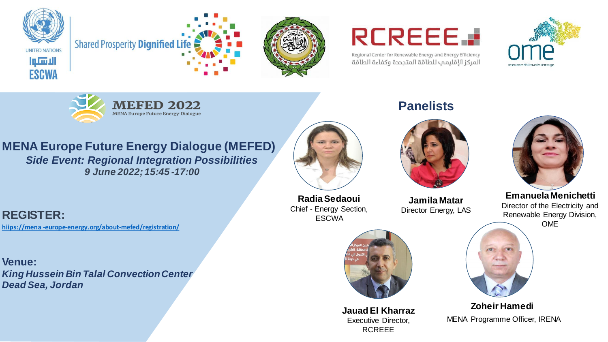





## **RCREEE.**

Regional Center for Renewable Energy and Energy Efficiency المركز الإقليمب للطاقة المتجددة وكفاءة الطاقة



![](_page_0_Picture_6.jpeg)

**MENA Europe Future Energy Dialogue (MEFED)** *Side Event: Regional Integration Possibilities 9 June 2022; 15:45 -17:00*

**REGISTER: hiips://mena -europe-energy.org/about-mefed/registration/**

**Venue:**  *King Hussein Bin Talal Convection Center Dead Sea, Jordan* 

![](_page_0_Picture_10.jpeg)

**Radia Sedaoui** Chief - Energy Section, **ESCWA** 

![](_page_0_Picture_12.jpeg)

**Jauad El Kharraz** Executive Director, RCREEE

**Panelists** 

![](_page_0_Picture_15.jpeg)

**Jamila Matar** Director Energy, LAS

![](_page_0_Picture_17.jpeg)

**EmanuelaMenichetti** Director of the Electricity and Renewable Energy Division, OME

![](_page_0_Picture_19.jpeg)

**Zoheir Hamedi** MENA Programme Officer, IRENA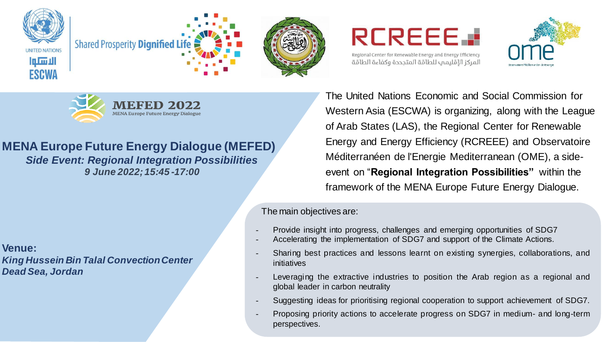![](_page_1_Picture_0.jpeg)

![](_page_1_Picture_1.jpeg)

![](_page_1_Picture_2.jpeg)

**REREEE.** 

![](_page_1_Picture_4.jpeg)

![](_page_1_Picture_5.jpeg)

**MENA Europe Future Energy Dialogue** 

**MENA Europe Future Energy Dialogue (MEFED)** *Side Event: Regional Integration Possibilities 9 June 2022; 15:45 -17:00*

The United Nations Economic and Social Commission for Western Asia (ESCWA) is organizing, along with the League of Arab States (LAS), the Regional Center for Renewable Energy and Energy Efficiency (RCREEE) and Observatoire Méditerranéen de l'Energie Mediterranean (OME), a sideevent on "**Regional Integration Possibilities"** within the framework of the MENA Europe Future Energy Dialogue.

The main objectives are:

- Provide insight into progress, challenges and emerging opportunities of SDG7
	- Accelerating the implementation of SDG7 and support of the Climate Actions.
- Sharing best practices and lessons learnt on existing synergies, collaborations, and initiatives
- Leveraging the extractive industries to position the Arab region as a regional and global leader in carbon neutrality
- Suggesting ideas for prioritising regional cooperation to support achievement of SDG7.
- Proposing priority actions to accelerate progress on SDG7 in medium- and long-term perspectives.

**Venue:**  *King Hussein Bin Talal Convection Center Dead Sea, Jordan*